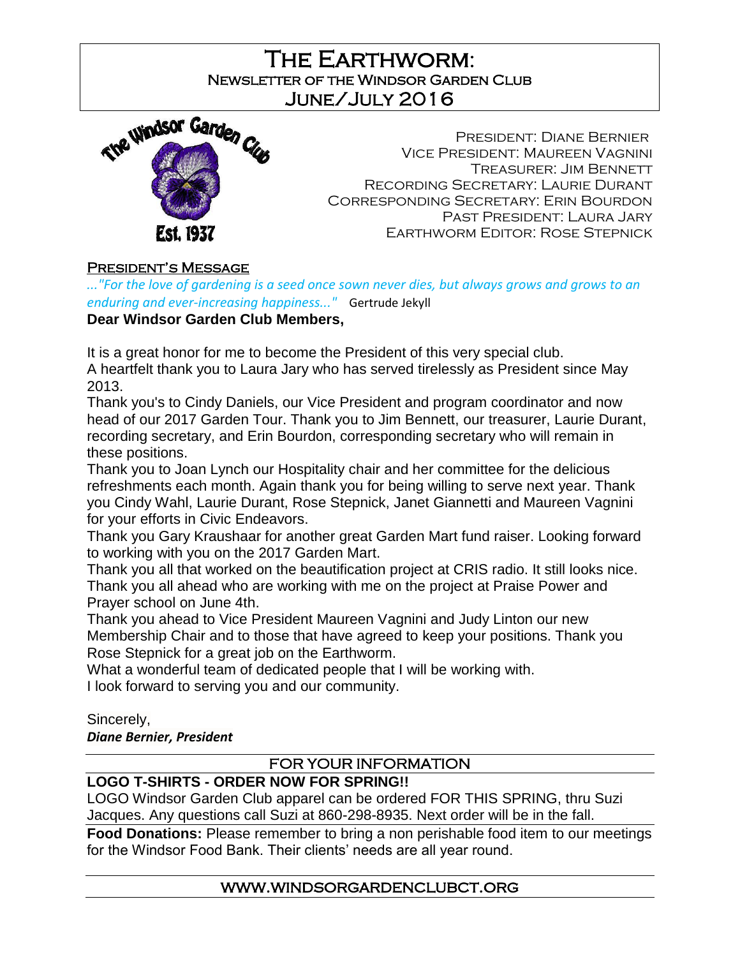The Earthworm: Newsletter of the Windsor Garden Club June/July 2016

Ι



President: Diane Bernier Vice President: Maureen Vagnini Treasurer: Jim Bennett Recording Secretary: Laurie Durant Corresponding Secretary: Erin Bourdon Past President: Laura Jary Earthworm Editor: Rose Stepnick

### President's Message

*..."For the love of gardening is a seed once sown never dies, but always grows and grows to an enduring and ever-increasing happiness..."* Gertrude Jekyll

# **Dear Windsor Garden Club Members,**

It is a great honor for me to become the President of this very special club. A heartfelt thank you to Laura Jary who has served tirelessly as President since May 2013.

Thank you's to Cindy Daniels, our Vice President and program coordinator and now head of our 2017 Garden Tour. Thank you to Jim Bennett, our treasurer, Laurie Durant, recording secretary, and Erin Bourdon, corresponding secretary who will remain in these positions.

Thank you to Joan Lynch our Hospitality chair and her committee for the delicious refreshments each month. Again thank you for being willing to serve next year. Thank you Cindy Wahl, Laurie Durant, Rose Stepnick, Janet Giannetti and Maureen Vagnini for your efforts in Civic Endeavors.

Thank you Gary Kraushaar for another great Garden Mart fund raiser. Looking forward to working with you on the 2017 Garden Mart.

Thank you all that worked on the beautification project at CRIS radio. It still looks nice. Thank you all ahead who are working with me on the project at Praise Power and Prayer school on June 4th.

Thank you ahead to Vice President Maureen Vagnini and Judy Linton our new Membership Chair and to those that have agreed to keep your positions. Thank you Rose Stepnick for a great job on the Earthworm.

What a wonderful team of dedicated people that I will be working with.

I look forward to serving you and our community.

#### Sincerely,

*Diane Bernier, President* 

### FOR YOUR INFORMATION

## **LOGO T-SHIRTS - ORDER NOW FOR SPRING!!**

LOGO Windsor Garden Club apparel can be ordered FOR THIS SPRING, thru Suzi Jacques. Any questions call Suzi at 860-298-8935. Next order will be in the fall.

**Food Donations:** Please remember to bring a non perishable food item to our meetings for the Windsor Food Bank. Their clients' needs are all year round.

### www.windsorgardenclubct.org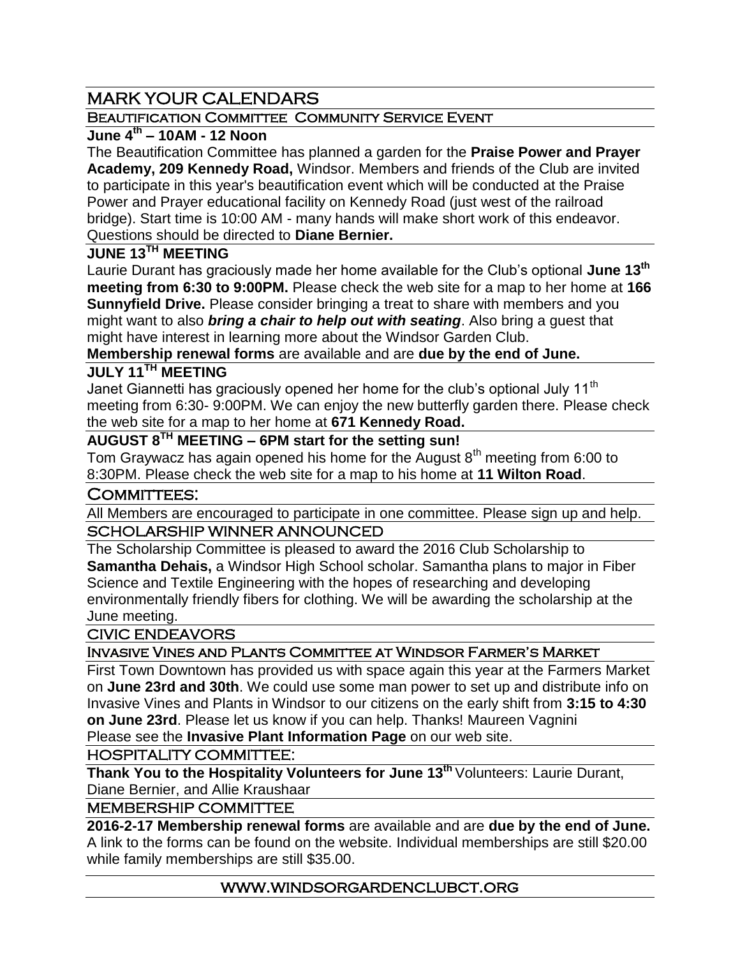# MARK YOUR CALENDARS

### BEAUTIFICATION COMMITTEE COMMUNITY SERVICE EVENT

## **June 4th – 10AM - 12 Noon**

The Beautification Committee has planned a garden for the **Praise Power and Prayer Academy, 209 Kennedy Road,** Windsor. Members and friends of the Club are invited to participate in this year's beautification event which will be conducted at the Praise Power and Prayer educational facility on Kennedy Road (just west of the railroad bridge). Start time is 10:00 AM - many hands will make short work of this endeavor. Questions should be directed to **Diane Bernier.**

### **JUNE 13TH MEETING**

Laurie Durant has graciously made her home available for the Club's optional **June 13 th meeting from 6:30 to 9:00PM.** Please check the web site for a map to her home at **166 Sunnyfield Drive.** Please consider bringing a treat to share with members and you might want to also *bring a chair to help out with seating*. Also bring a guest that might have interest in learning more about the Windsor Garden Club.

## **Membership renewal forms** are available and are **due by the end of June.**

# **JULY 11TH MEETING**

Janet Giannetti has graciously opened her home for the club's optional July 11<sup>th</sup> meeting from 6:30- 9:00PM. We can enjoy the new butterfly garden there. Please check the web site for a map to her home at **671 Kennedy Road.**

## **AUGUST 8TH MEETING – 6PM start for the setting sun!**

Tom Graywacz has again opened his home for the August  $8<sup>th</sup>$  meeting from 6:00 to 8:30PM. Please check the web site for a map to his home at **11 Wilton Road**.

### COMMITTEES:

All Members are encouraged to participate in one committee. Please sign up and help.

### SCHOLARSHIP WINNER ANNOUNCED

The Scholarship Committee is pleased to award the 2016 Club Scholarship to **Samantha Dehais,** a Windsor High School scholar. Samantha plans to major in Fiber Science and Textile Engineering with the hopes of researching and developing environmentally friendly fibers for clothing. We will be awarding the scholarship at the June meeting.

#### CIVIC ENDEAVORS

### Invasive Vines and Plants Committee at Windsor Farmer's Market

First Town Downtown has provided us with space again this year at the Farmers Market on **June 23rd and 30th**. We could use some man power to set up and distribute info on Invasive Vines and Plants in Windsor to our citizens on the early shift from **3:15 to 4:30 on June 23rd**. Please let us know if you can help. Thanks! Maureen Vagnini Please see the **Invasive Plant Information Page** on our web site.

#### HOSPITALITY COMMITTEE:

**Thank You to the Hospitality Volunteers for June 13th** Volunteers: Laurie Durant, Diane Bernier, and Allie Kraushaar

#### MEMBERSHIP COMMITTEE

**2016-2-17 Membership renewal forms** are available and are **due by the end of June.** A link to the forms can be found on the website. Individual memberships are still \$20.00 while family memberships are still \$35.00.